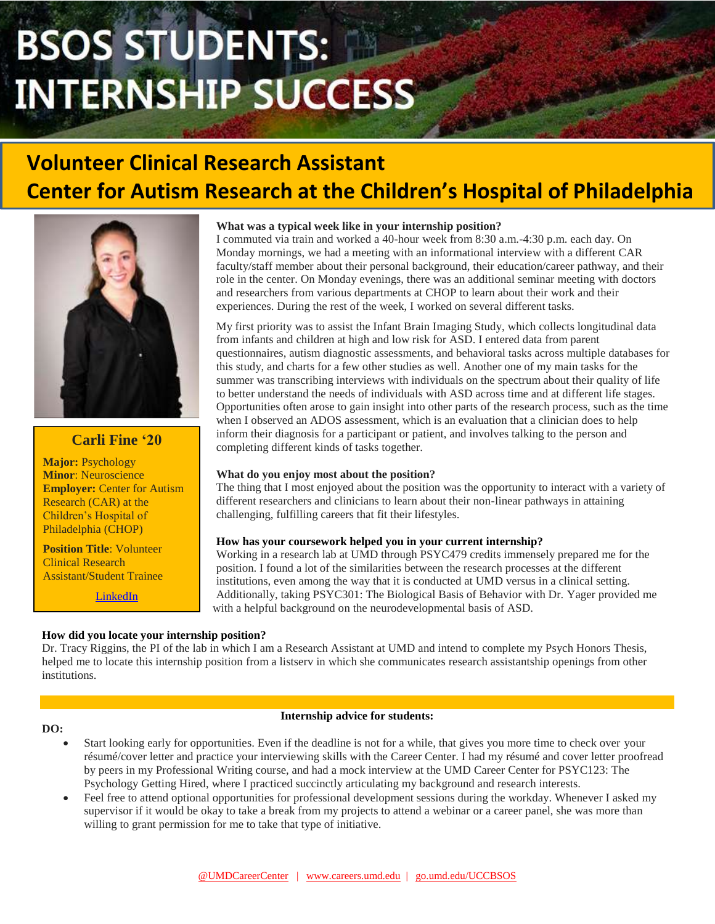# **BSOS STUDENTS: INTERNSHIP SUCCESS**

# **Volunteer Clinical Research Assistant Center for Autism Research at the Children's Hospital of Philadelphia**



# **Carli Fine '20**

**Major:** Psychology **Minor**: Neuroscience **Employer: Center for Autism** Research (CAR) at the Children's Hospital of Philadelphia (CHOP)

**Position Title**: Volunteer Clinical Research Assistant/Student Trainee

[LinkedIn](https://www.linkedin.com/in/carlifine/)

# **What was a typical week like in your internship position?**

I commuted via train and worked a 40-hour week from 8:30 a.m.-4:30 p.m. each day. On Monday mornings, we had a meeting with an informational interview with a different CAR faculty/staff member about their personal background, their education/career pathway, and their role in the center. On Monday evenings, there was an additional seminar meeting with doctors and researchers from various departments at CHOP to learn about their work and their experiences. During the rest of the week, I worked on several different tasks.

My first priority was to assist the Infant Brain Imaging Study, which collects longitudinal data from infants and children at high and low risk for ASD. I entered data from parent questionnaires, autism diagnostic assessments, and behavioral tasks across multiple databases for this study, and charts for a few other studies as well. Another one of my main tasks for the summer was transcribing interviews with individuals on the spectrum about their quality of life to better understand the needs of individuals with ASD across time and at different life stages. Opportunities often arose to gain insight into other parts of the research process, such as the time when I observed an ADOS assessment, which is an evaluation that a clinician does to help inform their diagnosis for a participant or patient, and involves talking to the person and completing different kinds of tasks together.

# **What do you enjoy most about the position?**

The thing that I most enjoyed about the position was the opportunity to interact with a variety of different researchers and clinicians to learn about their non-linear pathways in attaining challenging, fulfilling careers that fit their lifestyles.

# **How has your coursework helped you in your current internship?**

Working in a research lab at UMD through PSYC479 credits immensely prepared me for the position. I found a lot of the similarities between the research processes at the different institutions, even among the way that it is conducted at UMD versus in a clinical setting. Additionally, taking PSYC301: The Biological Basis of Behavior with Dr. Yager provided me with a helpful background on the neurodevelopmental basis of ASD.

# **How did you locate your internship position?**

Dr. Tracy Riggins, the PI of the lab in which I am a Research Assistant at UMD and intend to complete my Psych Honors Thesis, helped me to locate this internship position from a listserv in which she communicates research assistantship openings from other institutions.

#### **DO:**

#### **Internship advice for students:**

- Start looking early for opportunities. Even if the deadline is not for a while, that gives you more time to check over your résumé/cover letter and practice your interviewing skills with the Career Center. I had my résumé and cover letter proofread by peers in my Professional Writing course, and had a mock interview at the UMD Career Center for PSYC123: The Psychology Getting Hired, where I practiced succinctly articulating my background and research interests.
- Feel free to attend optional opportunities for professional development sessions during the workday. Whenever I asked my supervisor if it would be okay to take a break from my projects to attend a webinar or a career panel, she was more than willing to grant permission for me to take that type of initiative.